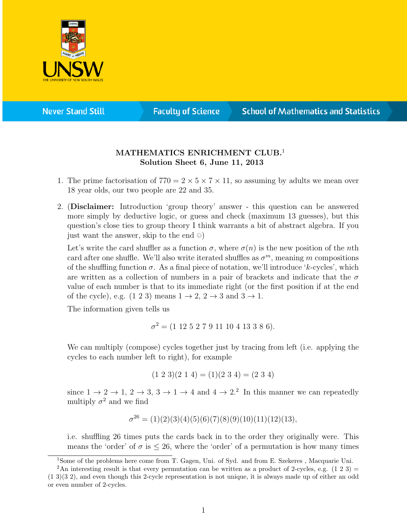

**Never Stand Still** 

**Faculty of Science** 

## **School of Mathematics and Statistics**

## MATHEMATICS ENRICHMENT CLUB.<sup>1</sup> Solution Sheet 6, June 11, 2013

- 1. The prime factorisation of  $770 = 2 \times 5 \times 7 \times 11$ , so assuming by adults we mean over 18 year olds, our two people are 22 and 35.
- 2. (Disclaimer: Introduction 'group theory' answer this question can be answered more simply by deductive logic, or guess and check (maximum 13 guesses), but this question's close ties to group theory I think warrants a bit of abstract algebra. If you just want the answer, skip to the end ©)

Let's write the card shuffler as a function  $\sigma$ , where  $\sigma(n)$  is the new position of the nth card after one shuffle. We'll also write iterated shuffles as  $\sigma^m$ , meaning m compositions of the shuffling function  $\sigma$ . As a final piece of notation, we'll introduce 'k-cycles', which are written as a collection of numbers in a pair of brackets and indicate that the  $\sigma$ value of each number is that to its immediate right (or the first position if at the end of the cycle), e.g.  $(1\ 2\ 3)$  means  $1 \rightarrow 2$ ,  $2 \rightarrow 3$  and  $3 \rightarrow 1$ .

The information given tells us

$$
\sigma^2 = (1\ 12\ 5\ 2\ 7\ 9\ 11\ 10\ 4\ 13\ 3\ 8\ 6).
$$

We can multiply (compose) cycles together just by tracing from left (i.e. applying the cycles to each number left to right), for example

$$
(1\ 2\ 3)(2\ 1\ 4) = (1)(2\ 3\ 4) = (2\ 3\ 4)
$$

since  $1 \to 2 \to 1$ ,  $2 \to 3$ ,  $3 \to 1 \to 4$  and  $4 \to 2$ .<sup>2</sup> In this manner we can repeatedly multiply  $\sigma^2$  and we find

$$
\sigma^{26} = (1)(2)(3)(4)(5)(6)(7)(8)(9)(10)(11)(12)(13),
$$

i.e. shuffling 26 times puts the cards back in to the order they originally were. This means the 'order' of  $\sigma$  is  $\leq 26$ , where the 'order' of a permutation is how many times

<sup>&</sup>lt;sup>1</sup>Some of the problems here come from T. Gagen, Uni. of Syd. and from E. Szekeres, Macquarie Uni.

<sup>&</sup>lt;sup>2</sup>An interesting result is that every permutation can be written as a product of 2-cycles, e.g. (1 2 3) = (1 3)(3 2), and even though this 2-cycle representation is not unique, it is always made up of either an odd or even number of 2-cycles.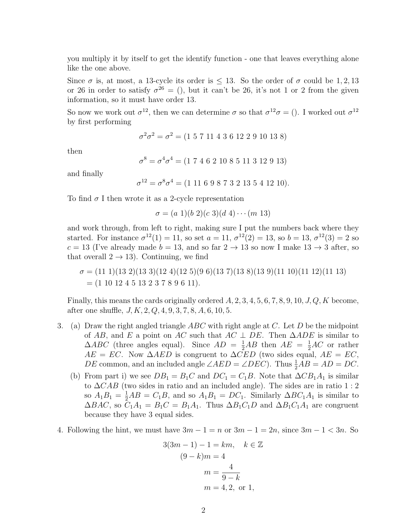you multiply it by itself to get the identify function - one that leaves everything alone like the one above.

Since  $\sigma$  is, at most, a 13-cycle its order is  $\leq$  13. So the order of  $\sigma$  could be 1, 2, 13 or 26 in order to satisfy  $\sigma^{26} = ()$ , but it can't be 26, it's not 1 or 2 from the given information, so it must have order 13.

So now we work out  $\sigma^{12}$ , then we can determine  $\sigma$  so that  $\sigma^{12}\sigma = ($ ). I worked out  $\sigma^{12}$ by first performing

$$
\sigma^2 \sigma^2 = \sigma^2 = (1\ 5\ 7\ 11\ 4\ 3\ 6\ 12\ 2\ 9\ 10\ 13\ 8)
$$

then

 $\sigma^8 = \sigma^4 \sigma^4 = (1\ 7\ 4\ 6\ 2\ 10\ 8\ 5\ 11\ 3\ 12\ 9\ 13)$ 

and finally

 $\sigma^{12} = \sigma^8 \sigma^4 = (1\ 11\ 6\ 9\ 8\ 7\ 3\ 2\ 13\ 5\ 4\ 12\ 10).$ 

To find  $\sigma$  I then wrote it as a 2-cycle representation

 $\sigma = (a 1)(b 2)(c 3)(d 4) \cdots (m 13)$ 

and work through, from left to right, making sure I put the numbers back where they started. For instance  $\sigma^{12}(1) = 11$ , so set  $a = 11$ ,  $\sigma^{12}(2) = 13$ , so  $b = 13$ ,  $\sigma^{12}(3) = 2$  so  $c = 13$  (I've already made  $b = 13$ , and so far  $2 \rightarrow 13$  so now I make  $13 \rightarrow 3$  after, so that overall  $2 \rightarrow 13$ ). Continuing, we find

$$
\sigma = (11\ 1)(13\ 2)(13\ 3)(12\ 4)(12\ 5)(9\ 6)(13\ 7)(13\ 8)(13\ 9)(11\ 10)(11\ 12)(11\ 13)
$$
  
= (1\ 10\ 12\ 4\ 5\ 13\ 2\ 3\ 7\ 8\ 9\ 6\ 11).

Finally, this means the cards originally ordered  $A, 2, 3, 4, 5, 6, 7, 8, 9, 10, J, Q, K$  become, after one shuffle,  $J, K, 2, Q, 4, 9, 3, 7, 8, A, 6, 10, 5.$ 

- 3. (a) Draw the right angled triangle  $ABC$  with right angle at C. Let D be the midpoint of AB, and E a point on AC such that  $AC \perp DE$ . Then  $\triangle ADE$  is similar to  $\triangle ABC$  (three angles equal). Since  $AD = \frac{1}{2}AB$  then  $AE = \frac{1}{2}AC$  or rather  $AE = EC$ . Now  $\triangle AED$  is congruent to  $\triangle CED$  (two sides equal,  $AE = EC$ , *DE* common, and an included angle  $\angle AED = \angle DEC$ . Thus  $\frac{1}{2}AB = AD = DC$ .
	- (b) From part i) we see  $DB_1 = B_1C$  and  $DC_1 = C_1B$ . Note that  $\Delta CB_1A_1$  is similar to  $\Delta CAB$  (two sides in ratio and an included angle). The sides are in ratio 1 : 2 so  $A_1B_1 = \frac{1}{2}AB = C_1B$ , and so  $A_1B_1 = DC_1$ . Similarly  $\Delta BC_1A_1$  is similar to  $\Delta BAC$ , so  $C_1A_1 = B_1C = B_1A_1$ . Thus  $\Delta B_1C_1D$  and  $\Delta B_1C_1A_1$  are congruent because they have 3 equal sides.
- 4. Following the hint, we must have  $3m 1 = n$  or  $3m 1 = 2n$ , since  $3m 1 < 3n$ . So

$$
3(3m - 1) - 1 = km, \quad k \in \mathbb{Z}
$$

$$
(9 - k)m = 4
$$

$$
m = \frac{4}{9 - k}
$$

$$
m = 4, 2, \text{ or } 1,
$$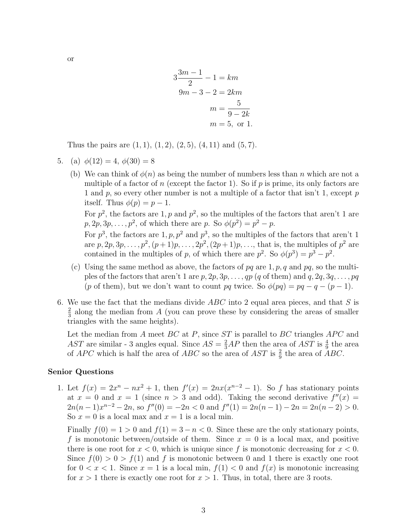$$
3\frac{3m-1}{2} - 1 = km
$$
  

$$
9m - 3 - 2 = 2km
$$
  

$$
m = \frac{5}{9 - 2k}
$$
  

$$
m = 5, \text{ or } 1.
$$

Thus the pairs are  $(1, 1), (1, 2), (2, 5), (4, 11)$  and  $(5, 7)$ .

- 5. (a)  $\phi(12) = 4, \phi(30) = 8$ 
	- (b) We can think of  $\phi(n)$  as being the number of numbers less than n which are not a multiple of a factor of n (except the factor 1). So if p is prime, its only factors are 1 and p, so every other number is not a multiple of a factor that isn't 1, except  $p$ itself. Thus  $\phi(p) = p - 1$ .

For  $p^2$ , the factors are 1, p and  $p^2$ , so the multiples of the factors that aren't 1 are  $p, 2p, 3p, \ldots, p^2$ , of which there are p. So  $\phi(p^2) = p^2 - p$ .

For  $p^3$ , the factors are 1, p,  $p^2$  and  $p^3$ , so the multiples of the factors that aren't 1 are  $p, 2p, 3p, \ldots, p^2, (p+1)p, \ldots, 2p^2, (2p+1)p, \ldots$ , that is, the multiples of  $p^2$  are contained in the multiples of p, of which there are  $p^2$ . So  $\phi(p^3) = p^3 - p^2$ .

- (c) Using the same method as above, the factors of  $pq$  are 1, p, q and pq, so the multiples of the factors that aren't 1 are  $p, 2p, 3p, \ldots, qp$  (q of them) and  $q, 2q, 3q, \ldots, pq$ (p of them), but we don't want to count pq twice. So  $\phi(pq) = pq - q - (p - 1)$ .
- 6. We use the fact that the medians divide  $ABC$  into 2 equal area pieces, and that S is 2  $\frac{2}{3}$  along the median from A (you can prove these by considering the areas of smaller triangles with the same heights).

Let the median from  $A$  meet  $BC$  at  $P$ , since  $ST$  is parallel to  $BC$  triangles  $APC$  and AST are similar - 3 angles equal. Since  $AS = \frac{2}{3}AP$  then the area of AST is  $\frac{4}{9}$  the area of APC which is half the area of ABC so the area of AST is  $\frac{2}{9}$  the area of ABC.

## Senior Questions

1. Let  $f(x) = 2x^n - nx^2 + 1$ , then  $f'(x) = 2nx(x^{n-2} - 1)$ . So f has stationary points at  $x = 0$  and  $x = 1$  (since  $n > 3$  and odd). Taking the second derivative  $f''(x) =$  $2n(n-1)x^{n-2} - 2n$ , so  $f''(0) = -2n < 0$  and  $f''(1) = 2n(n-1) - 2n = 2n(n-2) > 0$ . So  $x = 0$  is a local max and  $x = 1$  is a local min.

Finally  $f(0) = 1 > 0$  and  $f(1) = 3 - n < 0$ . Since these are the only stationary points, f is monotonic between/outside of them. Since  $x = 0$  is a local max, and positive there is one root for  $x < 0$ , which is unique since f is monotonic decreasing for  $x < 0$ . Since  $f(0) > 0 > f(1)$  and f is monotonic between 0 and 1 there is exactly one root for  $0 < x < 1$ . Since  $x = 1$  is a local min,  $f(1) < 0$  and  $f(x)$  is monotonic increasing for  $x > 1$  there is exactly one root for  $x > 1$ . Thus, in total, there are 3 roots.

or